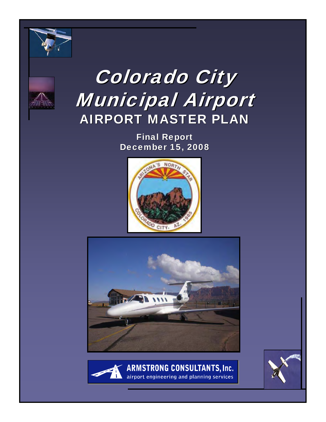



# Colorado City Municipal Airport **AIRPORT MASTER PLAN**

**Final Report** December 15, 2008







**ARMSTRONG CONSULTANTS, Inc.** airport engineering and planning services

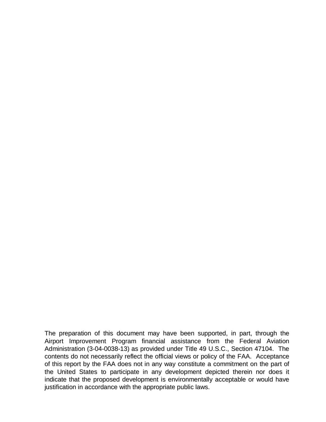The preparation of this document may have been supported, in part, through the Airport Improvement Program financial assistance from the Federal Aviation Administration (3-04-0038-13) as provided under Title 49 U.S.C., Section 47104. The contents do not necessarily reflect the official views or policy of the FAA. Acceptance of this report by the FAA does not in any way constitute a commitment on the part of the United States to participate in any development depicted therein nor does it indicate that the proposed development is environmentally acceptable or would have justification in accordance with the appropriate public laws.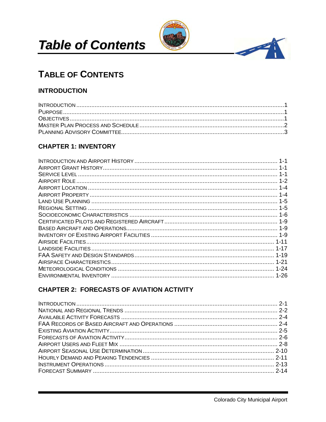



4

# **TABLE OF CONTENTS**

### **INTRODUCTION**

# **CHAPTER 1: INVENTORY**

# **CHAPTER 2: FORECASTS OF AVIATION ACTIVITY**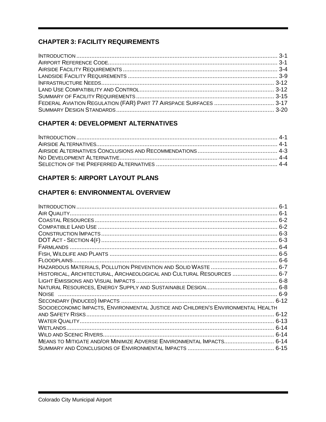# **CHAPTER 3: FACILITY REQUIREMENTS**

## **CHAPTER 4: DEVELOPMENT ALTERNATIVES**

## **CHAPTER 5: AIRPORT LAYOUT PLANS**

# **CHAPTER 6: ENVIRONMENTAL OVERVIEW**

|                                                                                  | $6-1$ |
|----------------------------------------------------------------------------------|-------|
|                                                                                  |       |
|                                                                                  |       |
|                                                                                  |       |
|                                                                                  |       |
|                                                                                  |       |
|                                                                                  |       |
|                                                                                  |       |
|                                                                                  |       |
|                                                                                  |       |
| HISTORICAL, ARCHITECTURAL, ARCHAEOLOGICAL AND CULTURAL RESOURCES  6-7            |       |
|                                                                                  |       |
|                                                                                  |       |
| <b>NOISE</b>                                                                     |       |
|                                                                                  |       |
| SOCIOECONOMIC IMPACTS, ENVIRONMENTAL JUSTICE AND CHILDREN'S ENVIRONMENTAL HEALTH |       |
|                                                                                  |       |
|                                                                                  |       |
|                                                                                  |       |
|                                                                                  |       |
| MEANS TO MITIGATE AND/OR MINIMIZE ADVERSE ENVIRONMENTAL IMPACTS 6-14             |       |
|                                                                                  |       |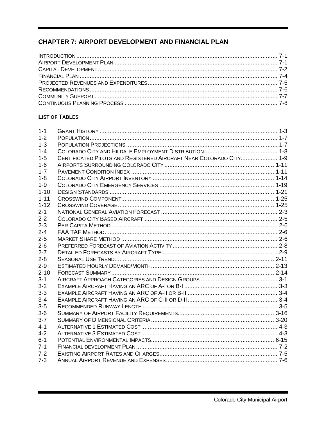# **CHAPTER 7: AIRPORT DEVELOPMENT AND FINANCIAL PLAN**

#### **LIST OF TABLES**

| $1 - 1$  |                                                                    |  |
|----------|--------------------------------------------------------------------|--|
| $1 - 2$  |                                                                    |  |
| $1 - 3$  |                                                                    |  |
| $1 - 4$  |                                                                    |  |
| $1 - 5$  | CERTIFICATED PILOTS AND REGISTERED AIRCRAFT NEAR COLORADO CITY 1-9 |  |
| $1-6$    |                                                                    |  |
| $1 - 7$  |                                                                    |  |
| $1 - 8$  |                                                                    |  |
| $1 - 9$  |                                                                    |  |
| $1 - 10$ |                                                                    |  |
| $1 - 11$ |                                                                    |  |
| $1 - 12$ |                                                                    |  |
| $2 - 1$  |                                                                    |  |
| $2 - 2$  |                                                                    |  |
| $2 - 3$  |                                                                    |  |
| $2 - 4$  |                                                                    |  |
| $2 - 5$  |                                                                    |  |
| $2 - 6$  |                                                                    |  |
| $2 - 7$  |                                                                    |  |
| $2 - 8$  |                                                                    |  |
| $2 - 9$  |                                                                    |  |
| $2 - 10$ |                                                                    |  |
| $3 - 1$  |                                                                    |  |
| $3 - 2$  |                                                                    |  |
| $3-3$    |                                                                    |  |
| $3 - 4$  |                                                                    |  |
| $3-5$    |                                                                    |  |
| $3-6$    |                                                                    |  |
| $3 - 7$  |                                                                    |  |
| $4 - 1$  |                                                                    |  |
| $4 - 2$  |                                                                    |  |
| $6 - 1$  |                                                                    |  |
| $7 - 1$  |                                                                    |  |
| $7 - 2$  |                                                                    |  |
| $7 - 3$  |                                                                    |  |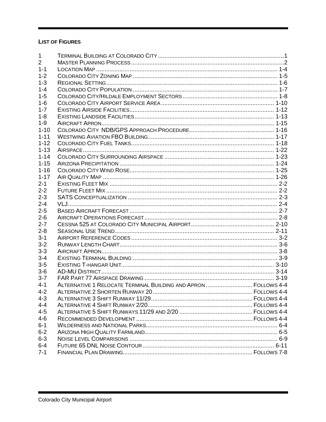#### **LIST OF FIGURES**

| $\mathbf 1$    |                                                                 |  |
|----------------|-----------------------------------------------------------------|--|
| $\overline{2}$ |                                                                 |  |
| $1 - 1$        |                                                                 |  |
| $1 - 2$        |                                                                 |  |
| $1 - 3$        |                                                                 |  |
| $1 - 4$        |                                                                 |  |
| $1 - 5$        |                                                                 |  |
| $1 - 6$        |                                                                 |  |
| $1 - 7$        |                                                                 |  |
| $1 - 8$        |                                                                 |  |
| $1 - 9$        |                                                                 |  |
| $1 - 10$       |                                                                 |  |
| $1 - 11$       |                                                                 |  |
| $1 - 12$       |                                                                 |  |
| $1 - 13$       |                                                                 |  |
| $1 - 14$       |                                                                 |  |
| $1 - 15$       |                                                                 |  |
| $1 - 16$       |                                                                 |  |
| $1 - 17$       |                                                                 |  |
| $2 - 1$        |                                                                 |  |
| $2 - 2$        |                                                                 |  |
| $2 - 3$        |                                                                 |  |
| $2 - 4$        |                                                                 |  |
| $2 - 5$        |                                                                 |  |
| $2 - 6$        |                                                                 |  |
| $2 - 7$        |                                                                 |  |
| $2 - 8$        |                                                                 |  |
| $3 - 1$        |                                                                 |  |
| $3 - 2$        |                                                                 |  |
| $3 - 3$        |                                                                 |  |
| $3 - 4$        |                                                                 |  |
| $3-5$          |                                                                 |  |
| $3-6$          |                                                                 |  |
| $3 - 7$        |                                                                 |  |
| $4 - 1$        | ALTERNATIVE 1 RELOCATE TERMINAL BUILDING AND APRON  FOLLOWS 4-4 |  |
| $4 - 2$        |                                                                 |  |
| $4 - 3$        |                                                                 |  |
| $4 - 4$        |                                                                 |  |
| $4 - 5$        |                                                                 |  |
| $4 - 6$        |                                                                 |  |
| $6 - 1$        |                                                                 |  |
| $6 - 2$        |                                                                 |  |
| $6 - 3$        |                                                                 |  |
| $6 - 4$        |                                                                 |  |
| $7 - 1$        |                                                                 |  |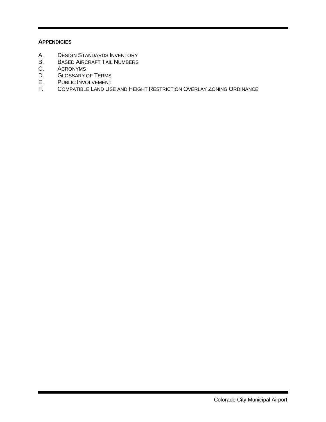#### **APPENDICIES**

- A. DESIGN STANDARDS INVENTORY<br>B. BASED AIRCRAFT TAIL NUMBERS
- B. BASED AIRCRAFT TAIL NUMBERS<br>C. ACRONYMS
- **ACRONYMS**
- D. GLOSSARY OF TERMS
- E. PUBLIC INVOLVEMENT<br>F. COMPATIBLE LAND USI
- COMPATIBLE LAND USE AND HEIGHT RESTRICTION OVERLAY ZONING ORDINANCE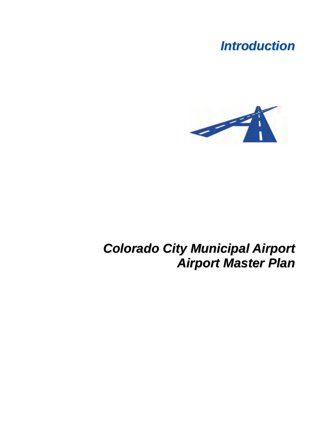# *Introduction*



# *Colorado City Municipal Airport Airport Master Plan*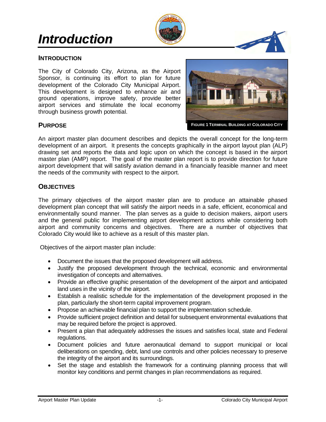# *Introduction*



#### **INTRODUCTION**

The City of Colorado City, Arizona, as the Airport Sponsor, is continuing its effort to plan for future development of the Colorado City Municipal Airport. This development is designed to enhance air and ground operations, improve safety, provide better airport services and stimulate the local economy through business growth potential.



Master Plan Update

Springerville Municipal Airport

**FIGURE 1 TERMINAL BUILDING AT COLORADO CITY**

#### **PURPOSE**

An airport master plan document describes and depicts the overall concept for the long-term development of an airport. It presents the concepts graphically in the airport layout plan (ALP) drawing set and reports the data and logic upon on which the concept is based in the airport master plan (AMP) report. The goal of the master plan report is to provide direction for future airport development that will satisfy aviation demand in a financially feasible manner and meet the needs of the community with respect to the airport.

#### **OBJECTIVES**

The primary objectives of the airport master plan are to produce an attainable phased development plan concept that will satisfy the airport needs in a safe, efficient, economical and environmentally sound manner. The plan serves as a guide to decision makers, airport users and the general public for implementing airport development actions while considering both airport and community concerns and objectives. There are a number of objectives that Colorado City would like to achieve as a result of this master plan.

Objectives of the airport master plan include:

- Document the issues that the proposed development will address.
- Justify the proposed development through the technical, economic and environmental investigation of concepts and alternatives.
- Provide an effective graphic presentation of the development of the airport and anticipated land uses in the vicinity of the airport.
- Establish a realistic schedule for the implementation of the development proposed in the plan, particularly the short-term capital improvement program.
- Propose an achievable financial plan to support the implementation schedule.
- Provide sufficient project definition and detail for subsequent environmental evaluations that may be required before the project is approved.
- Present a plan that adequately addresses the issues and satisfies local, state and Federal regulations.
- Document policies and future aeronautical demand to support municipal or local deliberations on spending, debt, land use controls and other policies necessary to preserve the integrity of the airport and its surroundings.
- Set the stage and establish the framework for a continuing planning process that will monitor key conditions and permit changes in plan recommendations as required.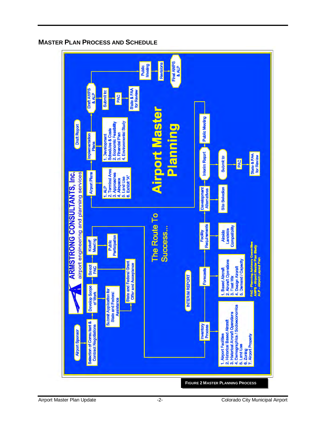

# **MASTER PLAN PROCESS AND SCHEDULE**